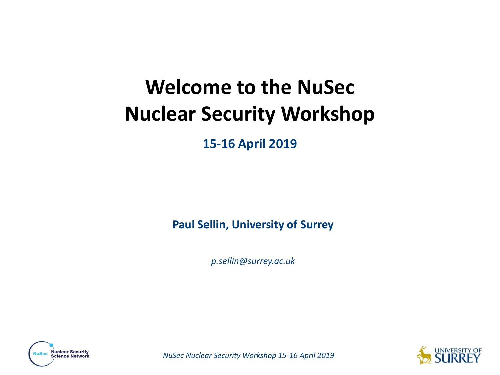# **Welcome to the NuSec Nuclear Security Workshop**

**15-16 April 2019**

**Paul Sellin, University of Surrey**

*p.sellin@surrey.ac.uk* 



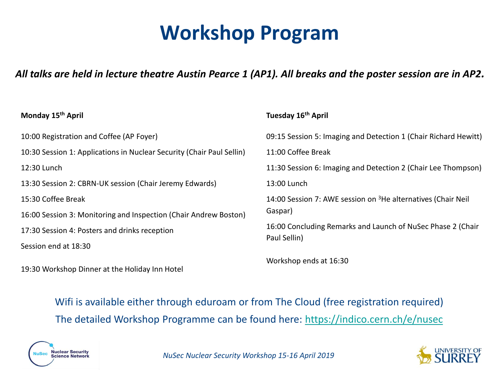## **Workshop Program**

#### *All talks are held in lecture theatre Austin Pearce 1 (AP1). All breaks and the poster session are in AP2.*

**Tuesday 16th April**

#### **Monday 15th April**

10:00 Registration and Coffee (AP Foyer) 10:30 Session 1: Applications in Nuclear Security (Chair Paul Sellin) 12:30 Lunch 13:30 Session 2: CBRN-UK session (Chair Jeremy Edwards) 15:30 Coffee Break 16:00 Session 3: Monitoring and Inspection (Chair Andrew Boston) 17:30 Session 4: Posters and drinks reception Session end at 18:30 09:15 Session 5: Imaging and Detection 1 (Chair Richard Hewitt) 11:00 Coffee Break 11:30 Session 6: Imaging and Detection 2 (Chair Lee Thompson) 13:00 Lunch 14:00 Session 7: AWE session on <sup>3</sup>He alternatives (Chair Neil Gaspar) 16:00 Concluding Remarks and Launch of NuSec Phase 2 (Chair Paul Sellin) Workshop ends at 16:30

19:30 Workshop Dinner at the Holiday Inn Hotel

#### Wifi is available either through eduroam or from The Cloud (free registration required) The detailed Workshop Programme can be found here: [https://indico.cern.ch/e/nusec](https://indico.cern.ch/event/731980/timetable/#20190415.detailed)



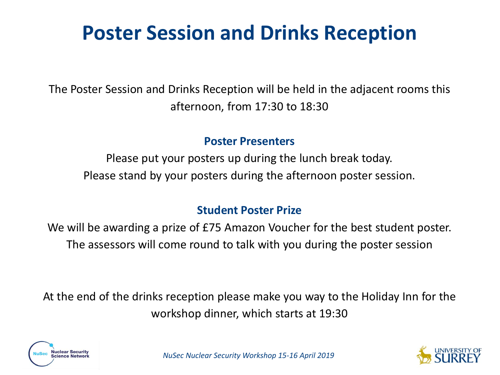# **Poster Session and Drinks Reception**

The Poster Session and Drinks Reception will be held in the adjacent rooms this afternoon, from 17:30 to 18:30

#### **Poster Presenters**

Please put your posters up during the lunch break today. Please stand by your posters during the afternoon poster session.

#### **Student Poster Prize**

We will be awarding a prize of £75 Amazon Voucher for the best student poster. The assessors will come round to talk with you during the poster session

At the end of the drinks reception please make you way to the Holiday Inn for the workshop dinner, which starts at 19:30



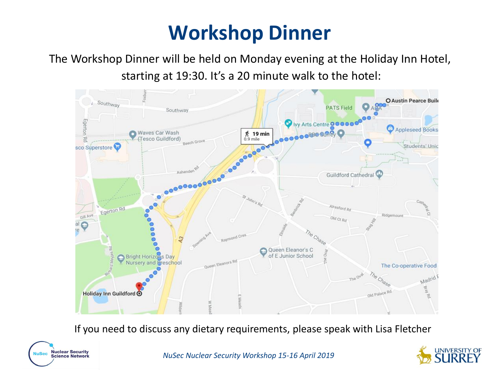# **Workshop Dinner**

The Workshop Dinner will be held on Monday evening at the Holiday Inn Hotel, starting at 19:30. It's a 20 minute walk to the hotel:



If you need to discuss any dietary requirements, please speak with Lisa Fletcher



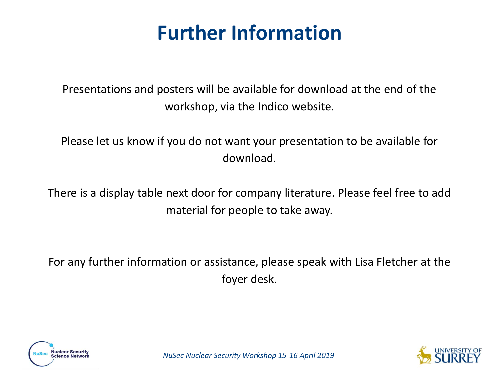### **Further Information**

Presentations and posters will be available for download at the end of the workshop, via the Indico website.

Please let us know if you do not want your presentation to be available for download.

There is a display table next door for company literature. Please feel free to add material for people to take away.

For any further information or assistance, please speak with Lisa Fletcher at the foyer desk.